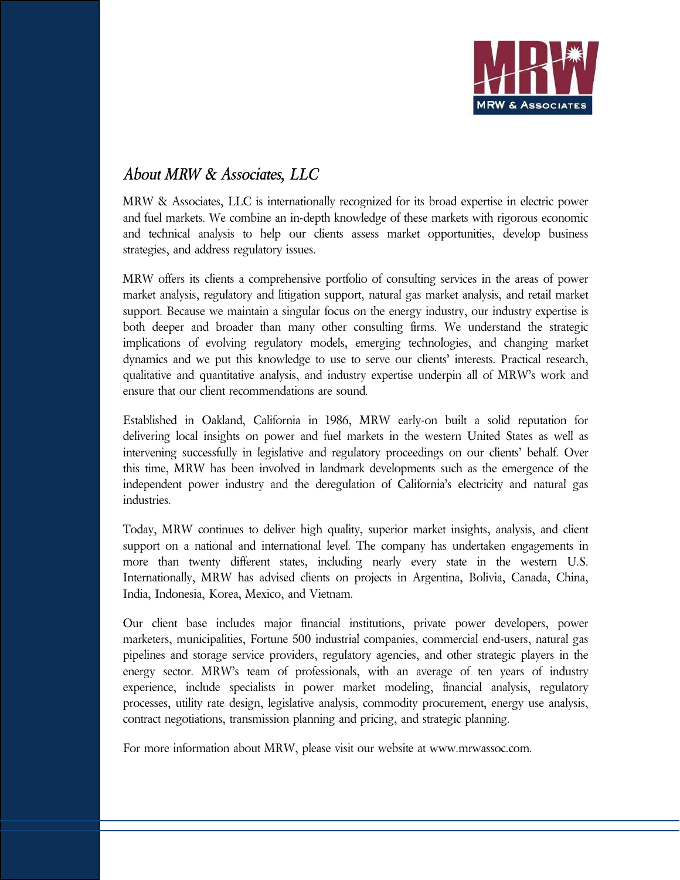

# *About MRW & Associates, LLC*

MRW & Associates, LLC is internationally recognized for its broad expertise in electric power and fuel markets. We combine an in-depth knowledge of these markets with rigorous economic and technical analysis to help our clients assess market opportunities, develop business strategies, and address regulatory issues.

MRW offers its clients a comprehensive portfolio of consulting services in the areas of power market analysis, regulatory and litigation support, natural gas market analysis, and retail market support. Because we maintain a singular focus on the energy industry, our industry expertise is both deeper and broader than many other consulting firms. We understand the strategic implications of evolving regulatory models, emerging technologies, and changing market dynamics and we put this knowledge to use to serve our clients' interests. Practical research, qualitative and quantitative analysis, and industry expertise underpin all of MRW's work and ensure that our client recommendations are sound.

Established in Oakland, California in 1986, MRW early-on built a solid reputation for delivering local insights on power and fuel markets in the western United States as well as intervening successfully in legislative and regulatory proceedings on our clients' behalf. Over this time, MRW has been involved in landmark developments such as the emergence of the independent power industry and the deregulation of California's electricity and natural gas industries.

Today, MRW continues to deliver high quality, superior market insights, analysis, and client support on a national and international level. The company has undertaken engagements in more than twenty different states, including nearly every state in the western U.S. Internationally, MRW has advised clients on projects in Argentina, Bolivia, Canada, China, India, Indonesia, Korea, Mexico, and Vietnam.

Our client base includes major financial institutions, private power developers, power marketers, municipalities, Fortune 500 industrial companies, commercial end-users, natural gas pipelines and storage service providers, regulatory agencies, and other strategic players in the energy sector. MRW's team of professionals, with an average of ten years of industry experience, include specialists in power market modeling, financial analysis, regulatory processes, utility rate design, legislative analysis, commodity procurement, energy use analysis, contract negotiations, transmission planning and pricing, and strategic planning.

For more information about MRW, please visit our website at www.mrwassoc.com.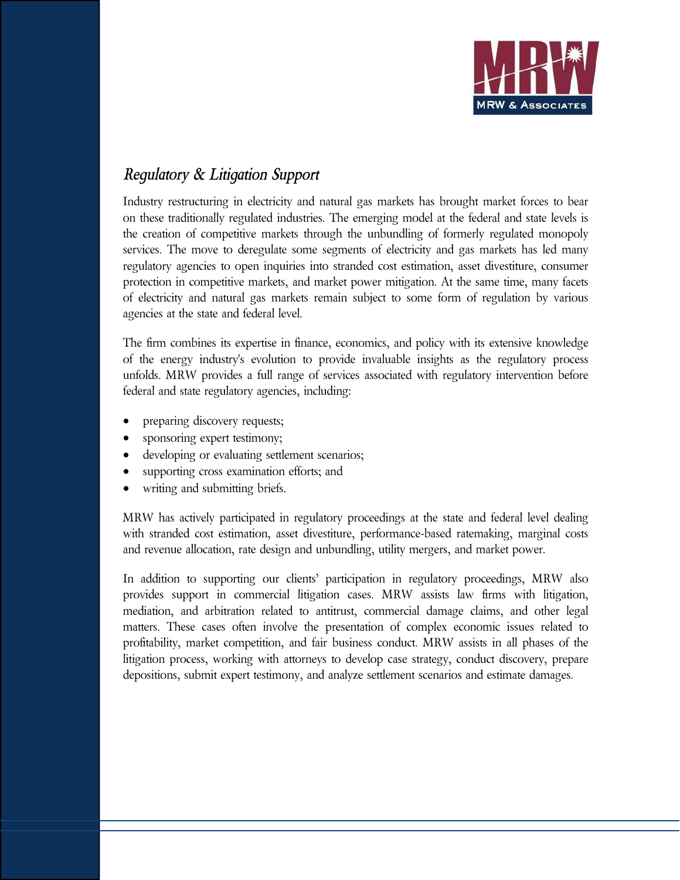

## *Regulatory & Litigation Support*

Industry restructuring in electricity and natural gas markets has brought market forces to bear on these traditionally regulated industries. The emerging model at the federal and state levels is the creation of competitive markets through the unbundling of formerly regulated monopoly services. The move to deregulate some segments of electricity and gas markets has led many regulatory agencies to open inquiries into stranded cost estimation, asset divestiture, consumer protection in competitive markets, and market power mitigation. At the same time, many facets of electricity and natural gas markets remain subject to some form of regulation by various agencies at the state and federal level.

The firm combines its expertise in finance, economics, and policy with its extensive knowledge of the energy industry's evolution to provide invaluable insights as the regulatory process unfolds. MRW provides a full range of services associated with regulatory intervention before federal and state regulatory agencies, including:

- preparing discovery requests;
- sponsoring expert testimony;
- developing or evaluating settlement scenarios;
- supporting cross examination efforts; and
- writing and submitting briefs.

MRW has actively participated in regulatory proceedings at the state and federal level dealing with stranded cost estimation, asset divestiture, performance-based ratemaking, marginal costs and revenue allocation, rate design and unbundling, utility mergers, and market power.

In addition to supporting our clients' participation in regulatory proceedings, MRW also provides support in commercial litigation cases. MRW assists law firms with litigation, mediation, and arbitration related to antitrust, commercial damage claims, and other legal matters. These cases often involve the presentation of complex economic issues related to profitability, market competition, and fair business conduct. MRW assists in all phases of the litigation process, working with attorneys to develop case strategy, conduct discovery, prepare depositions, submit expert testimony, and analyze settlement scenarios and estimate damages.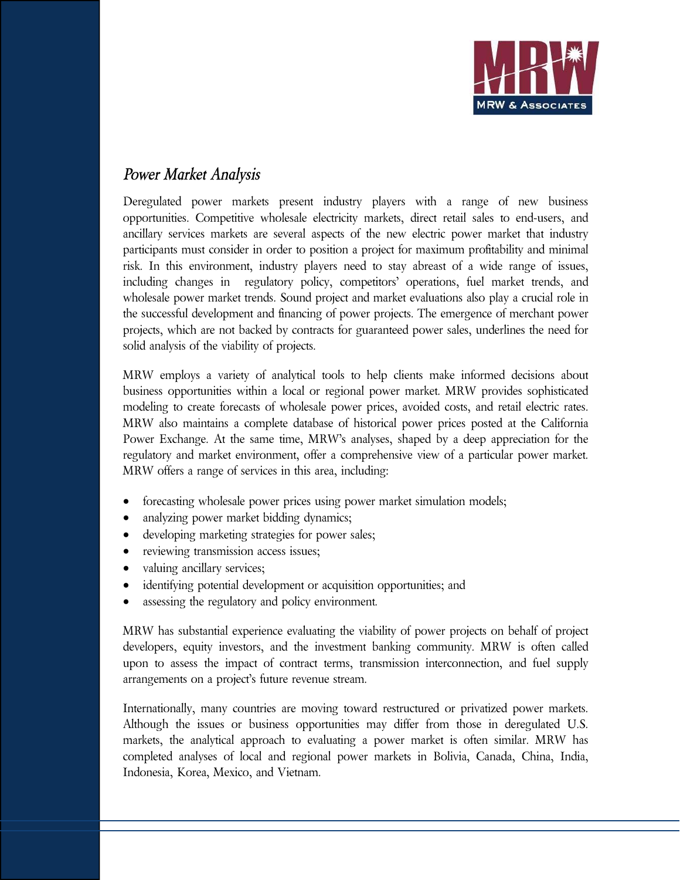

## *Power Market Analysis*

Deregulated power markets present industry players with a range of new business opportunities. Competitive wholesale electricity markets, direct retail sales to end-users, and ancillary services markets are several aspects of the new electric power market that industry participants must consider in order to position a project for maximum profitability and minimal risk. In this environment, industry players need to stay abreast of a wide range of issues, including changes in regulatory policy, competitors' operations, fuel market trends, and wholesale power market trends. Sound project and market evaluations also play a crucial role in the successful development and financing of power projects. The emergence of merchant power projects, which are not backed by contracts for guaranteed power sales, underlines the need for solid analysis of the viability of projects.

MRW employs a variety of analytical tools to help clients make informed decisions about business opportunities within a local or regional power market. MRW provides sophisticated modeling to create forecasts of wholesale power prices, avoided costs, and retail electric rates. MRW also maintains a complete database of historical power prices posted at the California Power Exchange. At the same time, MRW's analyses, shaped by a deep appreciation for the regulatory and market environment, offer a comprehensive view of a particular power market. MRW offers a range of services in this area, including:

- forecasting wholesale power prices using power market simulation models;
- analyzing power market bidding dynamics;
- developing marketing strategies for power sales;
- reviewing transmission access issues;
- valuing ancillary services;
- identifying potential development or acquisition opportunities; and
- assessing the regulatory and policy environment.

MRW has substantial experience evaluating the viability of power projects on behalf of project developers, equity investors, and the investment banking community. MRW is often called upon to assess the impact of contract terms, transmission interconnection, and fuel supply arrangements on a project's future revenue stream.

Internationally, many countries are moving toward restructured or privatized power markets. Although the issues or business opportunities may differ from those in deregulated U.S. markets, the analytical approach to evaluating a power market is often similar. MRW has completed analyses of local and regional power markets in Bolivia, Canada, China, India, Indonesia, Korea, Mexico, and Vietnam.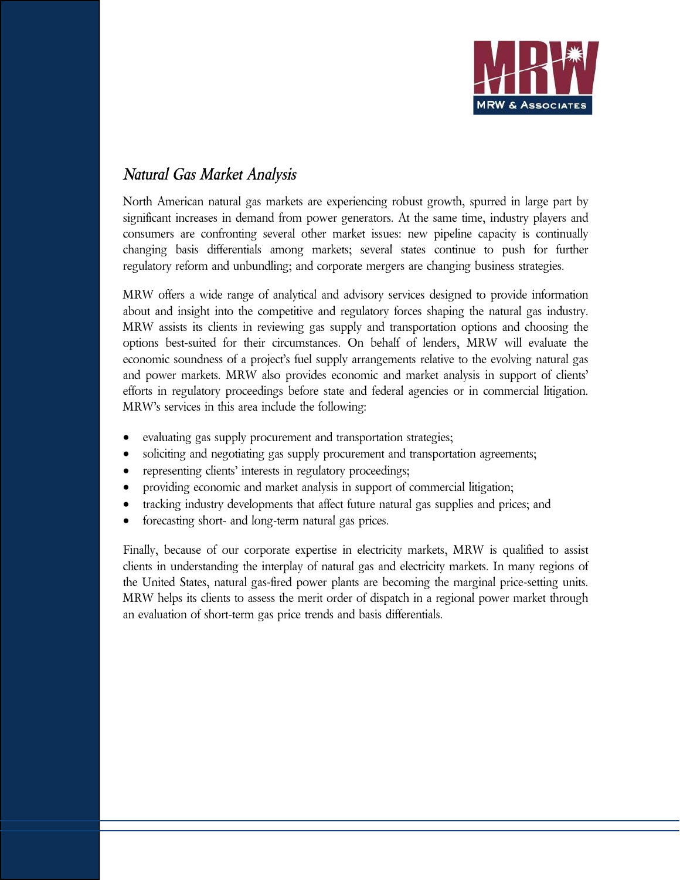

# *Natural Gas Market Analysis*

North American natural gas markets are experiencing robust growth, spurred in large part by significant increases in demand from power generators. At the same time, industry players and consumers are confronting several other market issues: new pipeline capacity is continually changing basis differentials among markets; several states continue to push for further regulatory reform and unbundling; and corporate mergers are changing business strategies.

MRW offers a wide range of analytical and advisory services designed to provide information about and insight into the competitive and regulatory forces shaping the natural gas industry. MRW assists its clients in reviewing gas supply and transportation options and choosing the options best-suited for their circumstances. On behalf of lenders, MRW will evaluate the economic soundness of a project's fuel supply arrangements relative to the evolving natural gas and power markets. MRW also provides economic and market analysis in support of clients' efforts in regulatory proceedings before state and federal agencies or in commercial litigation. MRW's services in this area include the following:

- evaluating gas supply procurement and transportation strategies;
- soliciting and negotiating gas supply procurement and transportation agreements;
- representing clients' interests in regulatory proceedings;
- providing economic and market analysis in support of commercial litigation;
- tracking industry developments that affect future natural gas supplies and prices; and
- forecasting short- and long-term natural gas prices.

Finally, because of our corporate expertise in electricity markets, MRW is qualified to assist clients in understanding the interplay of natural gas and electricity markets. In many regions of the United States, natural gas-fired power plants are becoming the marginal price-setting units. MRW helps its clients to assess the merit order of dispatch in a regional power market through an evaluation of short-term gas price trends and basis differentials.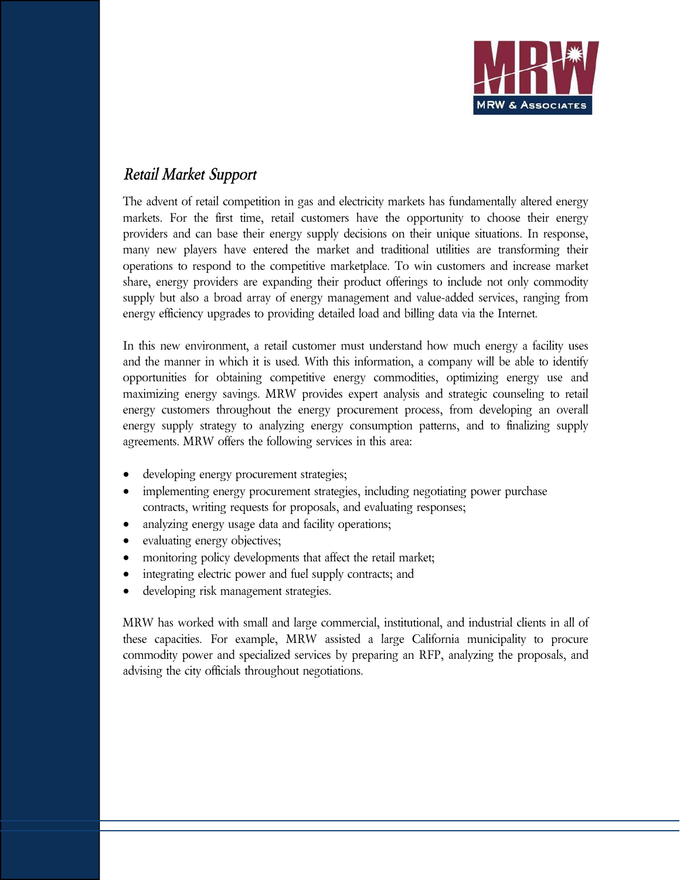

## *Retail Market Support*

The advent of retail competition in gas and electricity markets has fundamentally altered energy markets. For the first time, retail customers have the opportunity to choose their energy providers and can base their energy supply decisions on their unique situations. In response, many new players have entered the market and traditional utilities are transforming their operations to respond to the competitive marketplace. To win customers and increase market share, energy providers are expanding their product offerings to include not only commodity supply but also a broad array of energy management and value-added services, ranging from energy efficiency upgrades to providing detailed load and billing data via the Internet.

In this new environment, a retail customer must understand how much energy a facility uses and the manner in which it is used. With this information, a company will be able to identify opportunities for obtaining competitive energy commodities, optimizing energy use and maximizing energy savings. MRW provides expert analysis and strategic counseling to retail energy customers throughout the energy procurement process, from developing an overall energy supply strategy to analyzing energy consumption patterns, and to finalizing supply agreements. MRW offers the following services in this area:

- developing energy procurement strategies;
- implementing energy procurement strategies, including negotiating power purchase contracts, writing requests for proposals, and evaluating responses;
- analyzing energy usage data and facility operations;
- evaluating energy objectives;
- monitoring policy developments that affect the retail market;
- integrating electric power and fuel supply contracts; and
- developing risk management strategies.

MRW has worked with small and large commercial, institutional, and industrial clients in all of these capacities. For example, MRW assisted a large California municipality to procure commodity power and specialized services by preparing an RFP, analyzing the proposals, and advising the city officials throughout negotiations.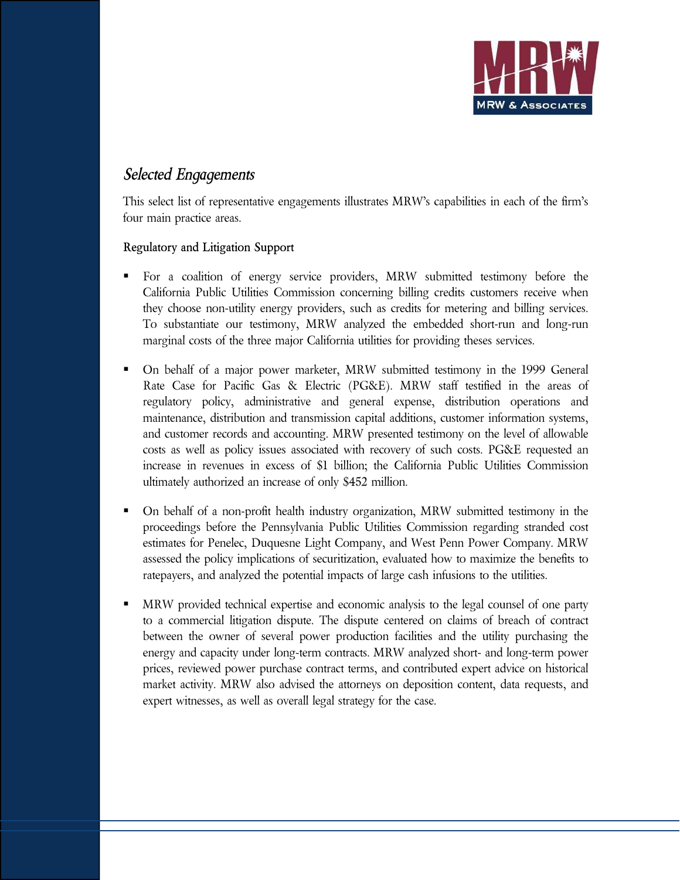

### *Selected Engagements*

This select list of representative engagements illustrates MRW's capabilities in each of the firm's four main practice areas.

### **Regulatory and Litigation Support**

- For a coalition of energy service providers, MRW submitted testimony before the California Public Utilities Commission concerning billing credits customers receive when they choose non-utility energy providers, such as credits for metering and billing services. To substantiate our testimony, MRW analyzed the embedded short-run and long-run marginal costs of the three major California utilities for providing theses services.
- On behalf of a major power marketer, MRW submitted testimony in the 1999 General Rate Case for Pacific Gas & Electric (PG&E). MRW staff testified in the areas of regulatory policy, administrative and general expense, distribution operations and maintenance, distribution and transmission capital additions, customer information systems, and customer records and accounting. MRW presented testimony on the level of allowable costs as well as policy issues associated with recovery of such costs. PG&E requested an increase in revenues in excess of \$1 billion; the California Public Utilities Commission ultimately authorized an increase of only \$452 million.
- On behalf of a non-profit health industry organization, MRW submitted testimony in the proceedings before the Pennsylvania Public Utilities Commission regarding stranded cost estimates for Penelec, Duquesne Light Company, and West Penn Power Company. MRW assessed the policy implications of securitization, evaluated how to maximize the benefits to ratepayers, and analyzed the potential impacts of large cash infusions to the utilities.
- MRW provided technical expertise and economic analysis to the legal counsel of one party to a commercial litigation dispute. The dispute centered on claims of breach of contract between the owner of several power production facilities and the utility purchasing the energy and capacity under long-term contracts. MRW analyzed short- and long-term power prices, reviewed power purchase contract terms, and contributed expert advice on historical market activity. MRW also advised the attorneys on deposition content, data requests, and expert witnesses, as well as overall legal strategy for the case.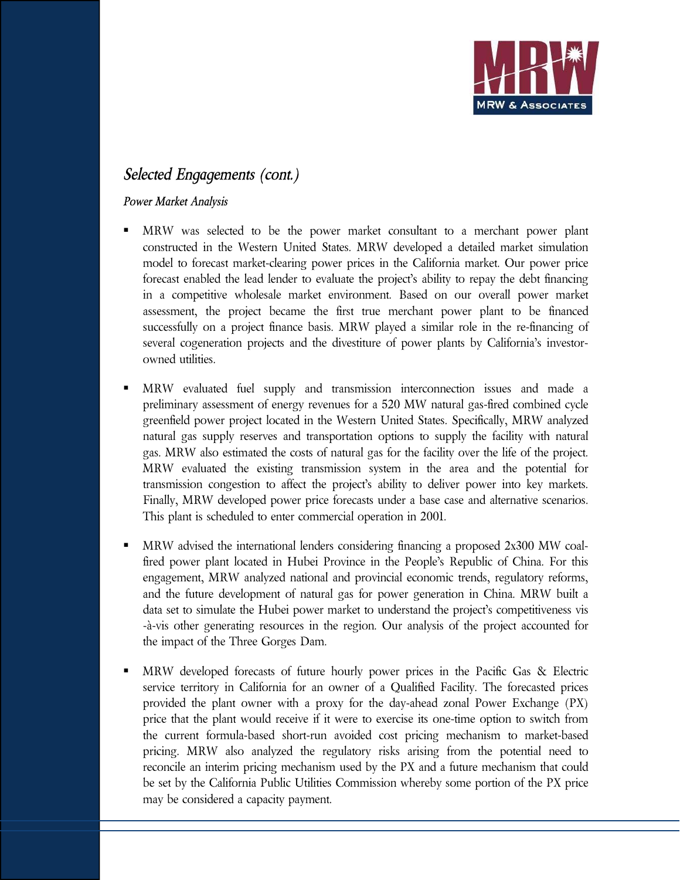

## *Selected Engagements (cont.)*

### *Power Market Analysis*

- MRW was selected to be the power market consultant to a merchant power plant constructed in the Western United States. MRW developed a detailed market simulation model to forecast market-clearing power prices in the California market. Our power price forecast enabled the lead lender to evaluate the project's ability to repay the debt financing in a competitive wholesale market environment. Based on our overall power market assessment, the project became the first true merchant power plant to be financed successfully on a project finance basis. MRW played a similar role in the re-financing of several cogeneration projects and the divestiture of power plants by California's investorowned utilities.
- MRW evaluated fuel supply and transmission interconnection issues and made a preliminary assessment of energy revenues for a 520 MW natural gas-fired combined cycle greenfield power project located in the Western United States. Specifically, MRW analyzed natural gas supply reserves and transportation options to supply the facility with natural gas. MRW also estimated the costs of natural gas for the facility over the life of the project. MRW evaluated the existing transmission system in the area and the potential for transmission congestion to affect the project's ability to deliver power into key markets. Finally, MRW developed power price forecasts under a base case and alternative scenarios. This plant is scheduled to enter commercial operation in 2001.
- MRW advised the international lenders considering financing a proposed 2x300 MW coalfired power plant located in Hubei Province in the People's Republic of China. For this engagement, MRW analyzed national and provincial economic trends, regulatory reforms, and the future development of natural gas for power generation in China. MRW built a data set to simulate the Hubei power market to understand the project's competitiveness vis -à-vis other generating resources in the region. Our analysis of the project accounted for the impact of the Three Gorges Dam.
- MRW developed forecasts of future hourly power prices in the Pacific Gas & Electric service territory in California for an owner of a Qualified Facility. The forecasted prices provided the plant owner with a proxy for the day-ahead zonal Power Exchange (PX) price that the plant would receive if it were to exercise its one-time option to switch from the current formula-based short-run avoided cost pricing mechanism to market-based pricing. MRW also analyzed the regulatory risks arising from the potential need to reconcile an interim pricing mechanism used by the PX and a future mechanism that could be set by the California Public Utilities Commission whereby some portion of the PX price may be considered a capacity payment.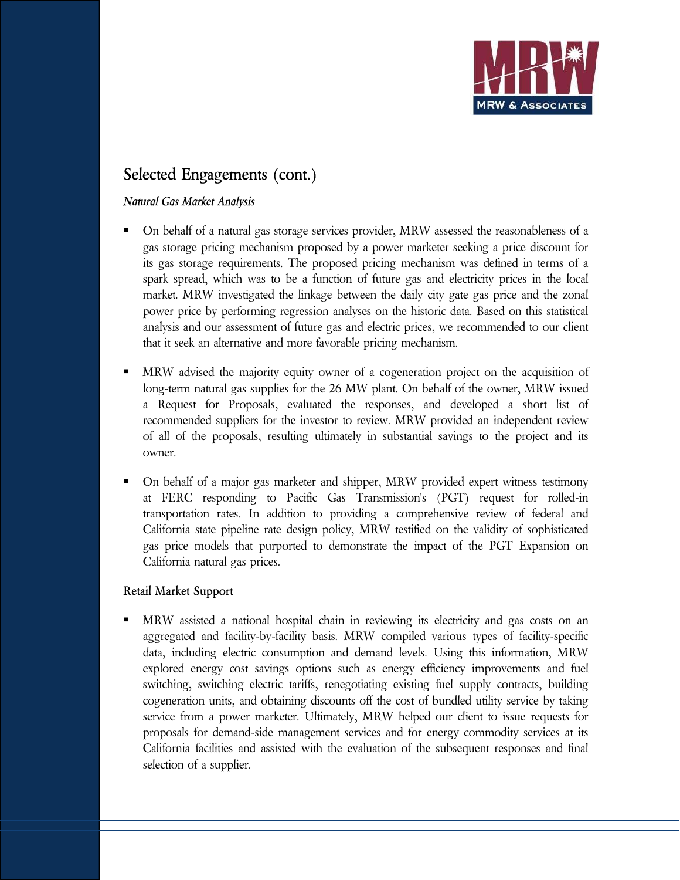

# **Selected Engagements (cont.)**

### *Natural Gas Market Analysis*

- On behalf of a natural gas storage services provider, MRW assessed the reasonableness of a gas storage pricing mechanism proposed by a power marketer seeking a price discount for its gas storage requirements. The proposed pricing mechanism was defined in terms of a spark spread, which was to be a function of future gas and electricity prices in the local market. MRW investigated the linkage between the daily city gate gas price and the zonal power price by performing regression analyses on the historic data. Based on this statistical analysis and our assessment of future gas and electric prices, we recommended to our client that it seek an alternative and more favorable pricing mechanism.
- MRW advised the majority equity owner of a cogeneration project on the acquisition of long-term natural gas supplies for the 26 MW plant. On behalf of the owner, MRW issued a Request for Proposals, evaluated the responses, and developed a short list of recommended suppliers for the investor to review. MRW provided an independent review of all of the proposals, resulting ultimately in substantial savings to the project and its owner.
- On behalf of a major gas marketer and shipper, MRW provided expert witness testimony at FERC responding to Pacific Gas Transmission's (PGT) request for rolled-in transportation rates. In addition to providing a comprehensive review of federal and California state pipeline rate design policy, MRW testified on the validity of sophisticated gas price models that purported to demonstrate the impact of the PGT Expansion on California natural gas prices.

### **Retail Market Support**

MRW assisted a national hospital chain in reviewing its electricity and gas costs on an aggregated and facility-by-facility basis. MRW compiled various types of facility-specific data, including electric consumption and demand levels. Using this information, MRW explored energy cost savings options such as energy efficiency improvements and fuel switching, switching electric tariffs, renegotiating existing fuel supply contracts, building cogeneration units, and obtaining discounts off the cost of bundled utility service by taking service from a power marketer. Ultimately, MRW helped our client to issue requests for proposals for demand-side management services and for energy commodity services at its California facilities and assisted with the evaluation of the subsequent responses and final selection of a supplier.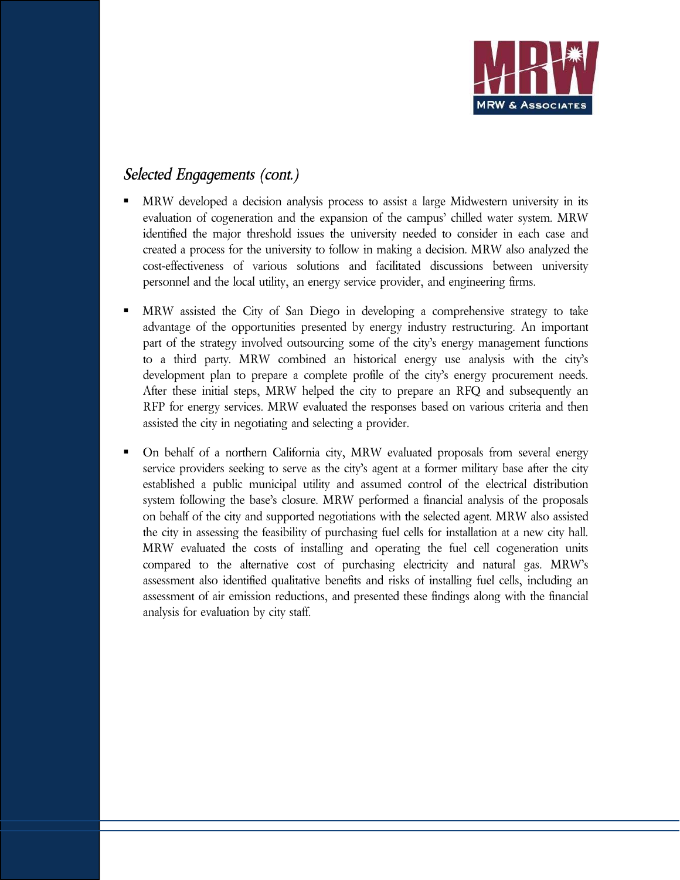

### *Selected Engagements (cont.)*

- MRW developed a decision analysis process to assist a large Midwestern university in its evaluation of cogeneration and the expansion of the campus' chilled water system. MRW identified the major threshold issues the university needed to consider in each case and created a process for the university to follow in making a decision. MRW also analyzed the cost-effectiveness of various solutions and facilitated discussions between university personnel and the local utility, an energy service provider, and engineering firms.
- MRW assisted the City of San Diego in developing a comprehensive strategy to take advantage of the opportunities presented by energy industry restructuring. An important part of the strategy involved outsourcing some of the city's energy management functions to a third party. MRW combined an historical energy use analysis with the city's development plan to prepare a complete profile of the city's energy procurement needs. After these initial steps, MRW helped the city to prepare an RFQ and subsequently an RFP for energy services. MRW evaluated the responses based on various criteria and then assisted the city in negotiating and selecting a provider.
- On behalf of a northern California city, MRW evaluated proposals from several energy service providers seeking to serve as the city's agent at a former military base after the city established a public municipal utility and assumed control of the electrical distribution system following the base's closure. MRW performed a financial analysis of the proposals on behalf of the city and supported negotiations with the selected agent. MRW also assisted the city in assessing the feasibility of purchasing fuel cells for installation at a new city hall. MRW evaluated the costs of installing and operating the fuel cell cogeneration units compared to the alternative cost of purchasing electricity and natural gas. MRW's assessment also identified qualitative benefits and risks of installing fuel cells, including an assessment of air emission reductions, and presented these findings along with the financial analysis for evaluation by city staff.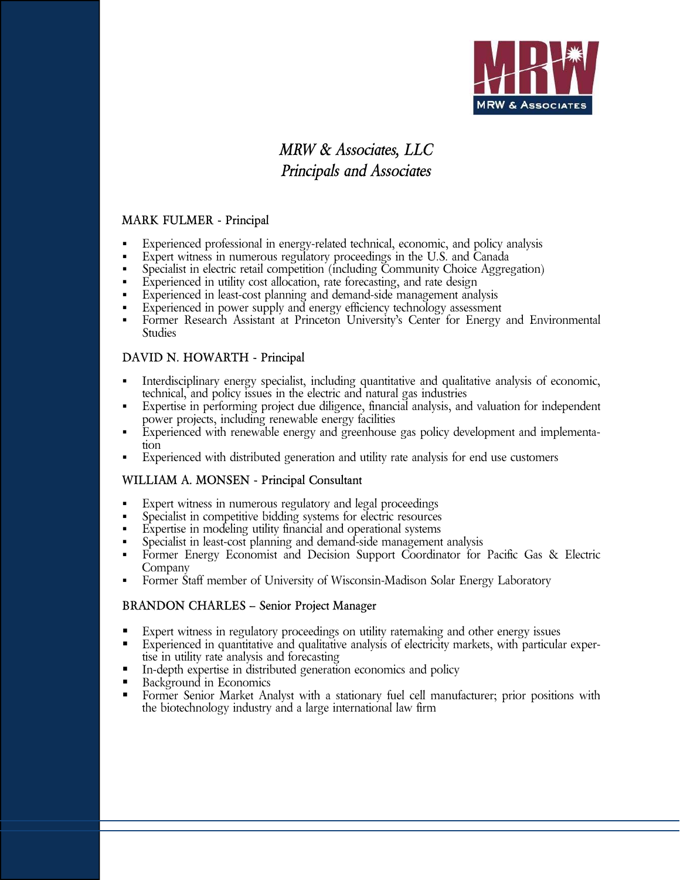

# *MRW & Associates, LLC Principals and Associates*

#### **MARK FULMER - Principal**

- Experienced professional in energy-related technical, economic, and policy analysis
- Expert witness in numerous regulatory proceedings in the U.S. and Canada
- Specialist in electric retail competition (including Community Choice Aggregation)
- Experienced in utility cost allocation, rate forecasting, and rate design
- Experienced in least-cost planning and demand-side management analysis
- **Experienced in power supply and energy efficiency technology assessment**
- Former Research Assistant at Princeton University's Center for Energy and Environmental Studies

#### **DAVID N. HOWARTH - Principal**

- Interdisciplinary energy specialist, including quantitative and qualitative analysis of economic, technical, and policy issues in the electric and natural gas industries
- Expertise in performing project due diligence, financial analysis, and valuation for independent power projects, including renewable energy facilities
- Experienced with renewable energy and greenhouse gas policy development and implementation
- Experienced with distributed generation and utility rate analysis for end use customers

#### **WILLIAM A. MONSEN - Principal Consultant**

- Expert witness in numerous regulatory and legal proceedings
- Specialist in competitive bidding systems for electric resources
- Expertise in modeling utility financial and operational systems
- Specialist in least-cost planning and demand-side management analysis
- Former Energy Economist and Decision Support Coordinator for Pacific Gas & Electric Company
- Former Staff member of University of Wisconsin-Madison Solar Energy Laboratory

#### **BRANDON CHARLES – Senior Project Manager**

- Expert witness in regulatory proceedings on utility ratemaking and other energy issues
- Experienced in quantitative and qualitative analysis of electricity markets, with particular expertise in utility rate analysis and forecasting
- In-depth expertise in distributed generation economics and policy
- Background in Economics<br>Economic Sepior Market An
- Former Senior Market Analyst with a stationary fuel cell manufacturer; prior positions with the biotechnology industry and a large international law firm